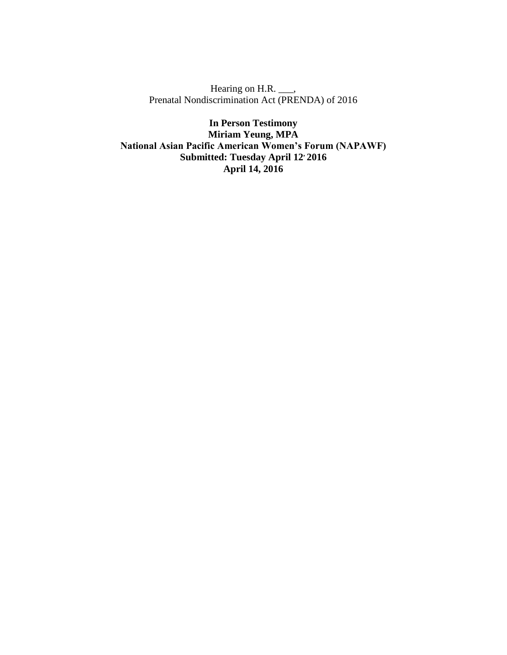Hearing on H.R. \_\_\_, Prenatal Nondiscrimination Act (PRENDA) of 2016

**In Person Testimony Miriam Yeung, MPA National Asian Pacific American Women's Forum (NAPAWF) Submitted: Tuesday April 12, 2016 April 14, 2016**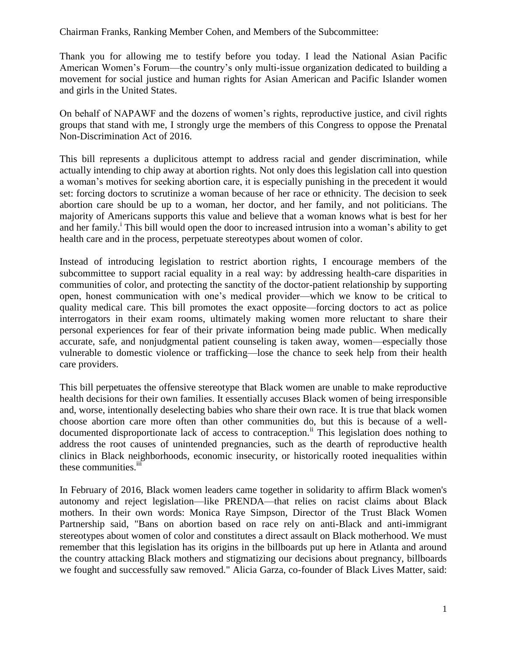Chairman Franks, Ranking Member Cohen, and Members of the Subcommittee:

Thank you for allowing me to testify before you today. I lead the National Asian Pacific American Women's Forum—the country's only multi-issue organization dedicated to building a movement for social justice and human rights for Asian American and Pacific Islander women and girls in the United States.

On behalf of NAPAWF and the dozens of women's rights, reproductive justice, and civil rights groups that stand with me, I strongly urge the members of this Congress to oppose the Prenatal Non-Discrimination Act of 2016.

This bill represents a duplicitous attempt to address racial and gender discrimination, while actually intending to chip away at abortion rights. Not only does this legislation call into question a woman's motives for seeking abortion care, it is especially punishing in the precedent it would set: forcing doctors to scrutinize a woman because of her race or ethnicity. The decision to seek abortion care should be up to a woman, her doctor, and her family, and not politicians. The majority of Americans supports this value and believe that a woman knows what is best for her and her family.<sup>i</sup> This bill would open the door to increased intrusion into a woman's ability to get health care and in the process, perpetuate stereotypes about women of color.

Instead of introducing legislation to restrict abortion rights, I encourage members of the subcommittee to support racial equality in a real way: by addressing health-care disparities in communities of color, and protecting the sanctity of the doctor-patient relationship by supporting open, honest communication with one's medical provider—which we know to be critical to quality medical care. This bill promotes the exact opposite—forcing doctors to act as police interrogators in their exam rooms, ultimately making women more reluctant to share their personal experiences for fear of their private information being made public. When medically accurate, safe, and nonjudgmental patient counseling is taken away, women—especially those vulnerable to domestic violence or trafficking—lose the chance to seek help from their health care providers.

This bill perpetuates the offensive stereotype that Black women are unable to make reproductive health decisions for their own families. It essentially accuses Black women of being irresponsible and, worse, intentionally deselecting babies who share their own race. It is true that black women choose abortion care more often than other communities do, but this is because of a welldocumented disproportionate lack of access to contraception.<sup>ii</sup> This legislation does nothing to address the root causes of unintended pregnancies, such as the dearth of reproductive health clinics in Black neighborhoods, economic insecurity, or historically rooted inequalities within these communities.<sup>iii</sup>

In February of 2016, Black women leaders came together in solidarity to affirm Black women's autonomy and reject legislation—like PRENDA—that relies on racist claims about Black mothers. In their own words: Monica Raye Simpson, Director of the Trust Black Women Partnership said, "Bans on abortion based on race rely on anti-Black and anti-immigrant stereotypes about women of color and constitutes a direct assault on Black motherhood. We must remember that this legislation has its origins in the billboards put up here in Atlanta and around the country attacking Black mothers and stigmatizing our decisions about pregnancy, billboards we fought and successfully saw removed." Alicia Garza, co-founder of Black Lives Matter, said: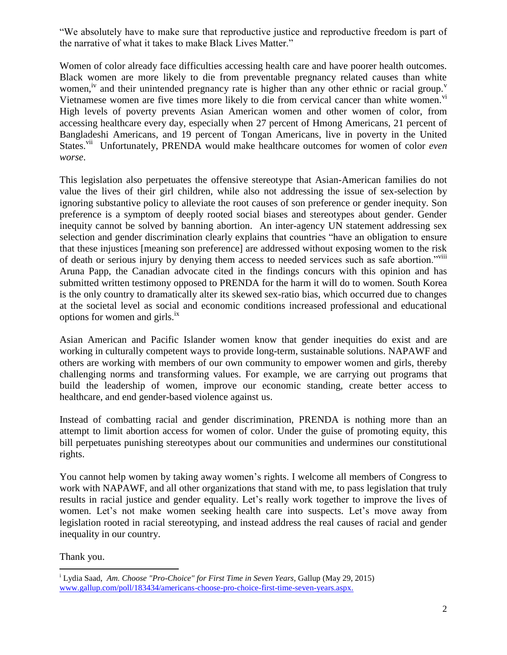"We absolutely have to make sure that reproductive justice and reproductive freedom is part of the narrative of what it takes to make Black Lives Matter."

Women of color already face difficulties accessing health care and have poorer health outcomes. Black women are more likely to die from preventable pregnancy related causes than white women,<sup>iv</sup> and their unintended pregnancy rate is higher than any other ethnic or racial group.<sup>v</sup> Vietnamese women are five times more likely to die from cervical cancer than white women.<sup>vi</sup> High levels of poverty prevents Asian American women and other women of color, from accessing healthcare every day, especially when 27 percent of Hmong Americans, 21 percent of Bangladeshi Americans, and 19 percent of Tongan Americans, live in poverty in the United States.<sup>vii</sup> Unfortunately, PRENDA would make healthcare outcomes for women of color *even worse*.

This legislation also perpetuates the offensive stereotype that Asian-American families do not value the lives of their girl children, while also not addressing the issue of sex-selection by ignoring substantive policy to alleviate the root causes of son preference or gender inequity. Son preference is a symptom of deeply rooted social biases and stereotypes about gender. Gender inequity cannot be solved by banning abortion. An inter-agency UN statement addressing sex selection and gender discrimination clearly explains that countries "have an obligation to ensure that these injustices [meaning son preference] are addressed without exposing women to the risk of death or serious injury by denying them access to needed services such as safe abortion."viii Aruna Papp, the Canadian advocate cited in the findings concurs with this opinion and has submitted written testimony opposed to PRENDA for the harm it will do to women. South Korea is the only country to dramatically alter its skewed sex-ratio bias, which occurred due to changes at the societal level as social and economic conditions increased professional and educational options for women and girls. $\frac{1}{x}$ 

Asian American and Pacific Islander women know that gender inequities do exist and are working in culturally competent ways to provide long-term, sustainable solutions. NAPAWF and others are working with members of our own community to empower women and girls, thereby challenging norms and transforming values. For example, we are carrying out programs that build the leadership of women, improve our economic standing, create better access to healthcare, and end gender-based violence against us.

Instead of combatting racial and gender discrimination, PRENDA is nothing more than an attempt to limit abortion access for women of color. Under the guise of promoting equity, this bill perpetuates punishing stereotypes about our communities and undermines our constitutional rights.

You cannot help women by taking away women's rights. I welcome all members of Congress to work with NAPAWF, and all other organizations that stand with me, to pass legislation that truly results in racial justice and gender equality. Let's really work together to improve the lives of women. Let's not make women seeking health care into suspects. Let's move away from legislation rooted in racial stereotyping, and instead address the real causes of racial and gender inequality in our country.

Thank you.

 $\overline{\phantom{a}}$ 

<sup>i</sup> Lydia Saad, *Am. Choose "Pro-Choice" for First Time in Seven Years*, Gallup (May 29, 2015) [www.gallup.com/poll/183434/americans-choose-pro-choice-first-time-seven-years.aspx.](http://www.gallup.com/poll/183434/americans-choose-pro-choice-first-time-seven-years.aspx)